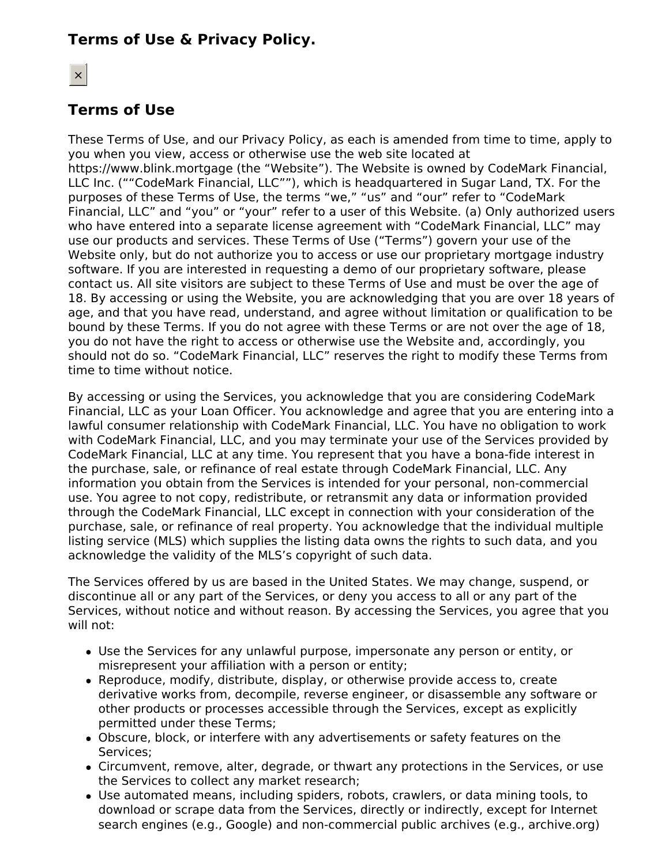# **Terms of Use & Privacy Policy.**

# $\times$

# **Terms of Use**

These Terms of Use, and our Privacy Policy, as each is amended from time to time, apply to you when you view, access or otherwise use the web site located at https://www.blink.mortgage (the "Website"). The Website is owned by CodeMark Financial, LLC Inc. (""CodeMark Financial, LLC""), which is headquartered in Sugar Land, TX. For the purposes of these Terms of Use, the terms "we," "us" and "our" refer to "CodeMark Financial, LLC" and "you" or "your" refer to a user of this Website. (a) Only authorized users who have entered into a separate license agreement with "CodeMark Financial, LLC" may use our products and services. These Terms of Use ("Terms") govern your use of the Website only, but do not authorize you to access or use our proprietary mortgage industry software. If you are interested in requesting a demo of our proprietary software, please contact us. All site visitors are subject to these Terms of Use and must be over the age of 18. By accessing or using the Website, you are acknowledging that you are over 18 years of age, and that you have read, understand, and agree without limitation or qualification to be bound by these Terms. If you do not agree with these Terms or are not over the age of 18, you do not have the right to access or otherwise use the Website and, accordingly, you should not do so. "CodeMark Financial, LLC" reserves the right to modify these Terms from time to time without notice.

By accessing or using the Services, you acknowledge that you are considering CodeMark Financial, LLC as your Loan Officer. You acknowledge and agree that you are entering into a lawful consumer relationship with CodeMark Financial, LLC. You have no obligation to work with CodeMark Financial, LLC, and you may terminate your use of the Services provided by CodeMark Financial, LLC at any time. You represent that you have a bona-fide interest in the purchase, sale, or refinance of real estate through CodeMark Financial, LLC. Any information you obtain from the Services is intended for your personal, non-commercial use. You agree to not copy, redistribute, or retransmit any data or information provided through the CodeMark Financial, LLC except in connection with your consideration of the purchase, sale, or refinance of real property. You acknowledge that the individual multiple listing service (MLS) which supplies the listing data owns the rights to such data, and you acknowledge the validity of the MLS's copyright of such data.

The Services offered by us are based in the United States. We may change, suspend, or discontinue all or any part of the Services, or deny you access to all or any part of the Services, without notice and without reason. By accessing the Services, you agree that you will not:

- Use the Services for any unlawful purpose, impersonate any person or entity, or misrepresent your affiliation with a person or entity;
- Reproduce, modify, distribute, display, or otherwise provide access to, create derivative works from, decompile, reverse engineer, or disassemble any software or other products or processes accessible through the Services, except as explicitly permitted under these Terms;
- Obscure, block, or interfere with any advertisements or safety features on the Services;
- Circumvent, remove, alter, degrade, or thwart any protections in the Services, or use the Services to collect any market research;
- Use automated means, including spiders, robots, crawlers, or data mining tools, to download or scrape data from the Services, directly or indirectly, except for Internet search engines (e.g., Google) and non-commercial public archives (e.g., archive.org)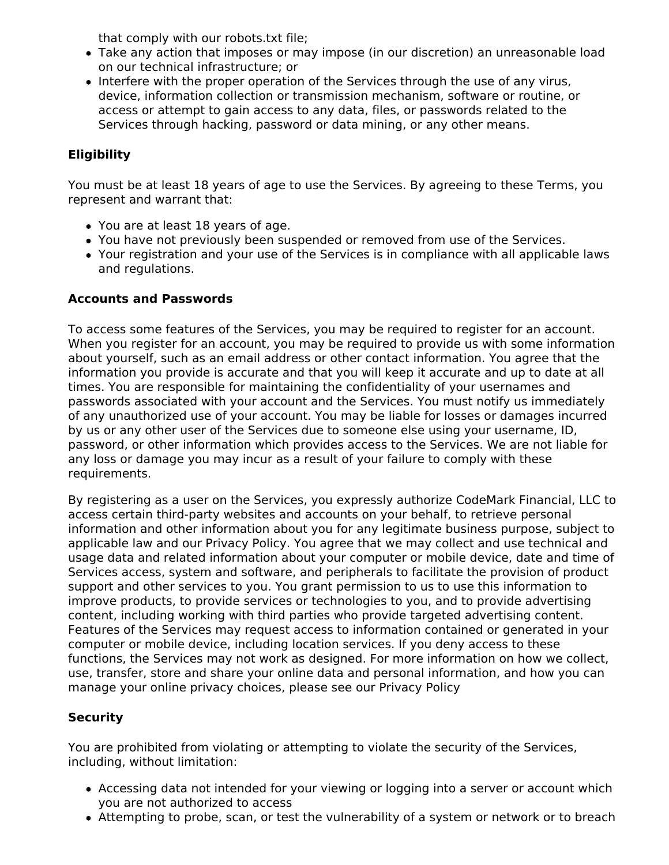that comply with our robots.txt file;

- Take any action that imposes or may impose (in our discretion) an unreasonable load on our technical infrastructure; or
- Interfere with the proper operation of the Services through the use of any virus, device, information collection or transmission mechanism, software or routine, or access or attempt to gain access to any data, files, or passwords related to the Services through hacking, password or data mining, or any other means.

# **Eligibility**

You must be at least 18 years of age to use the Services. By agreeing to these Terms, you represent and warrant that:

- You are at least 18 years of age.
- You have not previously been suspended or removed from use of the Services.
- Your registration and your use of the Services is in compliance with all applicable laws and regulations.

# **Accounts and Passwords**

To access some features of the Services, you may be required to register for an account. When you register for an account, you may be required to provide us with some information about yourself, such as an email address or other contact information. You agree that the information you provide is accurate and that you will keep it accurate and up to date at all times. You are responsible for maintaining the confidentiality of your usernames and passwords associated with your account and the Services. You must notify us immediately of any unauthorized use of your account. You may be liable for losses or damages incurred by us or any other user of the Services due to someone else using your username, ID, password, or other information which provides access to the Services. We are not liable for any loss or damage you may incur as a result of your failure to comply with these requirements.

By registering as a user on the Services, you expressly authorize CodeMark Financial, LLC to access certain third-party websites and accounts on your behalf, to retrieve personal information and other information about you for any legitimate business purpose, subject to applicable law and our Privacy Policy. You agree that we may collect and use technical and usage data and related information about your computer or mobile device, date and time of Services access, system and software, and peripherals to facilitate the provision of product support and other services to you. You grant permission to us to use this information to improve products, to provide services or technologies to you, and to provide advertising content, including working with third parties who provide targeted advertising content. Features of the Services may request access to information contained or generated in your computer or mobile device, including location services. If you deny access to these functions, the Services may not work as designed. For more information on how we collect, use, transfer, store and share your online data and personal information, and how you can manage your online privacy choices, please see our Privacy Policy

# **Security**

You are prohibited from violating or attempting to violate the security of the Services, including, without limitation:

- Accessing data not intended for your viewing or logging into a server or account which you are not authorized to access
- Attempting to probe, scan, or test the vulnerability of a system or network or to breach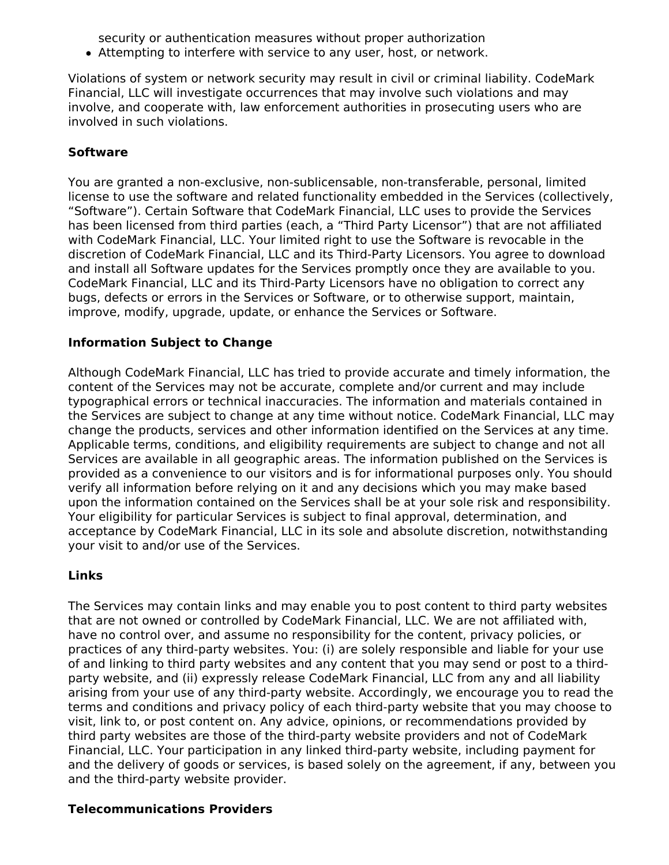security or authentication measures without proper authorization

Attempting to interfere with service to any user, host, or network.

Violations of system or network security may result in civil or criminal liability. CodeMark Financial, LLC will investigate occurrences that may involve such violations and may involve, and cooperate with, law enforcement authorities in prosecuting users who are involved in such violations.

# **Software**

You are granted a non-exclusive, non-sublicensable, non-transferable, personal, limited license to use the software and related functionality embedded in the Services (collectively, "Software"). Certain Software that CodeMark Financial, LLC uses to provide the Services has been licensed from third parties (each, a "Third Party Licensor") that are not affiliated with CodeMark Financial, LLC. Your limited right to use the Software is revocable in the discretion of CodeMark Financial, LLC and its Third-Party Licensors. You agree to download and install all Software updates for the Services promptly once they are available to you. CodeMark Financial, LLC and its Third-Party Licensors have no obligation to correct any bugs, defects or errors in the Services or Software, or to otherwise support, maintain, improve, modify, upgrade, update, or enhance the Services or Software.

# **Information Subject to Change**

Although CodeMark Financial, LLC has tried to provide accurate and timely information, the content of the Services may not be accurate, complete and/or current and may include typographical errors or technical inaccuracies. The information and materials contained in the Services are subject to change at any time without notice. CodeMark Financial, LLC may change the products, services and other information identified on the Services at any time. Applicable terms, conditions, and eligibility requirements are subject to change and not all Services are available in all geographic areas. The information published on the Services is provided as a convenience to our visitors and is for informational purposes only. You should verify all information before relying on it and any decisions which you may make based upon the information contained on the Services shall be at your sole risk and responsibility. Your eligibility for particular Services is subject to final approval, determination, and acceptance by CodeMark Financial, LLC in its sole and absolute discretion, notwithstanding your visit to and/or use of the Services.

## **Links**

The Services may contain links and may enable you to post content to third party websites that are not owned or controlled by CodeMark Financial, LLC. We are not affiliated with, have no control over, and assume no responsibility for the content, privacy policies, or practices of any third-party websites. You: (i) are solely responsible and liable for your use of and linking to third party websites and any content that you may send or post to a thirdparty website, and (ii) expressly release CodeMark Financial, LLC from any and all liability arising from your use of any third-party website. Accordingly, we encourage you to read the terms and conditions and privacy policy of each third-party website that you may choose to visit, link to, or post content on. Any advice, opinions, or recommendations provided by third party websites are those of the third-party website providers and not of CodeMark Financial, LLC. Your participation in any linked third-party website, including payment for and the delivery of goods or services, is based solely on the agreement, if any, between you and the third-party website provider.

## **Telecommunications Providers**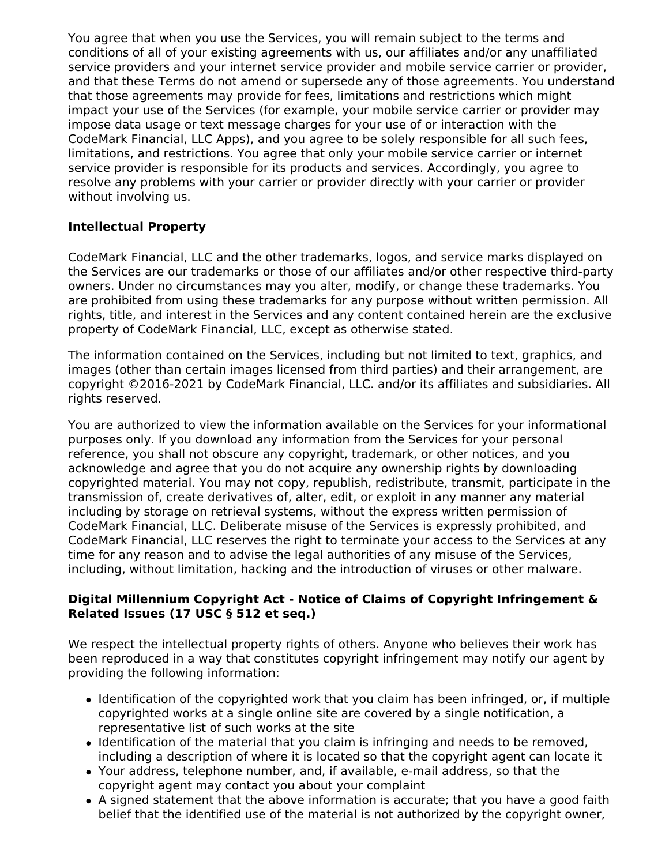You agree that when you use the Services, you will remain subject to the terms and conditions of all of your existing agreements with us, our affiliates and/or any unaffiliated service providers and your internet service provider and mobile service carrier or provider, and that these Terms do not amend or supersede any of those agreements. You understand that those agreements may provide for fees, limitations and restrictions which might impact your use of the Services (for example, your mobile service carrier or provider may impose data usage or text message charges for your use of or interaction with the CodeMark Financial, LLC Apps), and you agree to be solely responsible for all such fees, limitations, and restrictions. You agree that only your mobile service carrier or internet service provider is responsible for its products and services. Accordingly, you agree to resolve any problems with your carrier or provider directly with your carrier or provider without involving us.

# **Intellectual Property**

CodeMark Financial, LLC and the other trademarks, logos, and service marks displayed on the Services are our trademarks or those of our affiliates and/or other respective third-party owners. Under no circumstances may you alter, modify, or change these trademarks. You are prohibited from using these trademarks for any purpose without written permission. All rights, title, and interest in the Services and any content contained herein are the exclusive property of CodeMark Financial, LLC, except as otherwise stated.

The information contained on the Services, including but not limited to text, graphics, and images (other than certain images licensed from third parties) and their arrangement, are copyright ©2016-2021 by CodeMark Financial, LLC. and/or its affiliates and subsidiaries. All rights reserved.

You are authorized to view the information available on the Services for your informational purposes only. If you download any information from the Services for your personal reference, you shall not obscure any copyright, trademark, or other notices, and you acknowledge and agree that you do not acquire any ownership rights by downloading copyrighted material. You may not copy, republish, redistribute, transmit, participate in the transmission of, create derivatives of, alter, edit, or exploit in any manner any material including by storage on retrieval systems, without the express written permission of CodeMark Financial, LLC. Deliberate misuse of the Services is expressly prohibited, and CodeMark Financial, LLC reserves the right to terminate your access to the Services at any time for any reason and to advise the legal authorities of any misuse of the Services, including, without limitation, hacking and the introduction of viruses or other malware.

## **Digital Millennium Copyright Act - Notice of Claims of Copyright Infringement & Related Issues (17 USC § 512 et seq.)**

We respect the intellectual property rights of others. Anyone who believes their work has been reproduced in a way that constitutes copyright infringement may notify our agent by providing the following information:

- Identification of the copyrighted work that you claim has been infringed, or, if multiple copyrighted works at a single online site are covered by a single notification, a representative list of such works at the site
- Identification of the material that you claim is infringing and needs to be removed, including a description of where it is located so that the copyright agent can locate it
- Your address, telephone number, and, if available, e-mail address, so that the copyright agent may contact you about your complaint
- A signed statement that the above information is accurate; that you have a good faith belief that the identified use of the material is not authorized by the copyright owner,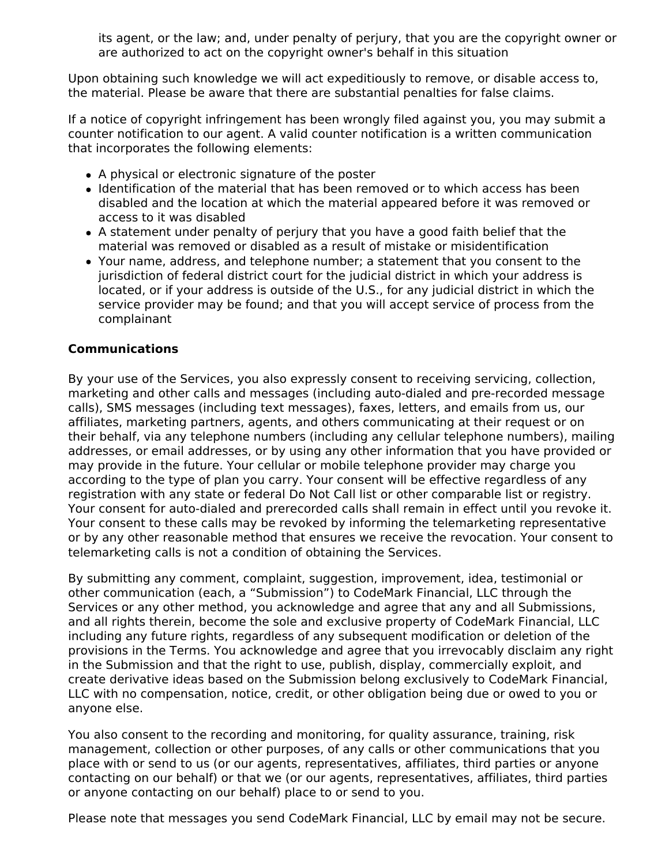its agent, or the law; and, under penalty of perjury, that you are the copyright owner or are authorized to act on the copyright owner's behalf in this situation

Upon obtaining such knowledge we will act expeditiously to remove, or disable access to, the material. Please be aware that there are substantial penalties for false claims.

If a notice of copyright infringement has been wrongly filed against you, you may submit a counter notification to our agent. A valid counter notification is a written communication that incorporates the following elements:

- A physical or electronic signature of the poster
- Identification of the material that has been removed or to which access has been disabled and the location at which the material appeared before it was removed or access to it was disabled
- A statement under penalty of perjury that you have a good faith belief that the material was removed or disabled as a result of mistake or misidentification
- Your name, address, and telephone number; a statement that you consent to the jurisdiction of federal district court for the judicial district in which your address is located, or if your address is outside of the U.S., for any judicial district in which the service provider may be found; and that you will accept service of process from the complainant

## **Communications**

By your use of the Services, you also expressly consent to receiving servicing, collection, marketing and other calls and messages (including auto-dialed and pre-recorded message calls), SMS messages (including text messages), faxes, letters, and emails from us, our affiliates, marketing partners, agents, and others communicating at their request or on their behalf, via any telephone numbers (including any cellular telephone numbers), mailing addresses, or email addresses, or by using any other information that you have provided or may provide in the future. Your cellular or mobile telephone provider may charge you according to the type of plan you carry. Your consent will be effective regardless of any registration with any state or federal Do Not Call list or other comparable list or registry. Your consent for auto-dialed and prerecorded calls shall remain in effect until you revoke it. Your consent to these calls may be revoked by informing the telemarketing representative or by any other reasonable method that ensures we receive the revocation. Your consent to telemarketing calls is not a condition of obtaining the Services.

By submitting any comment, complaint, suggestion, improvement, idea, testimonial or other communication (each, a "Submission") to CodeMark Financial, LLC through the Services or any other method, you acknowledge and agree that any and all Submissions, and all rights therein, become the sole and exclusive property of CodeMark Financial, LLC including any future rights, regardless of any subsequent modification or deletion of the provisions in the Terms. You acknowledge and agree that you irrevocably disclaim any right in the Submission and that the right to use, publish, display, commercially exploit, and create derivative ideas based on the Submission belong exclusively to CodeMark Financial, LLC with no compensation, notice, credit, or other obligation being due or owed to you or anyone else.

You also consent to the recording and monitoring, for quality assurance, training, risk management, collection or other purposes, of any calls or other communications that you place with or send to us (or our agents, representatives, affiliates, third parties or anyone contacting on our behalf) or that we (or our agents, representatives, affiliates, third parties or anyone contacting on our behalf) place to or send to you.

Please note that messages you send CodeMark Financial, LLC by email may not be secure.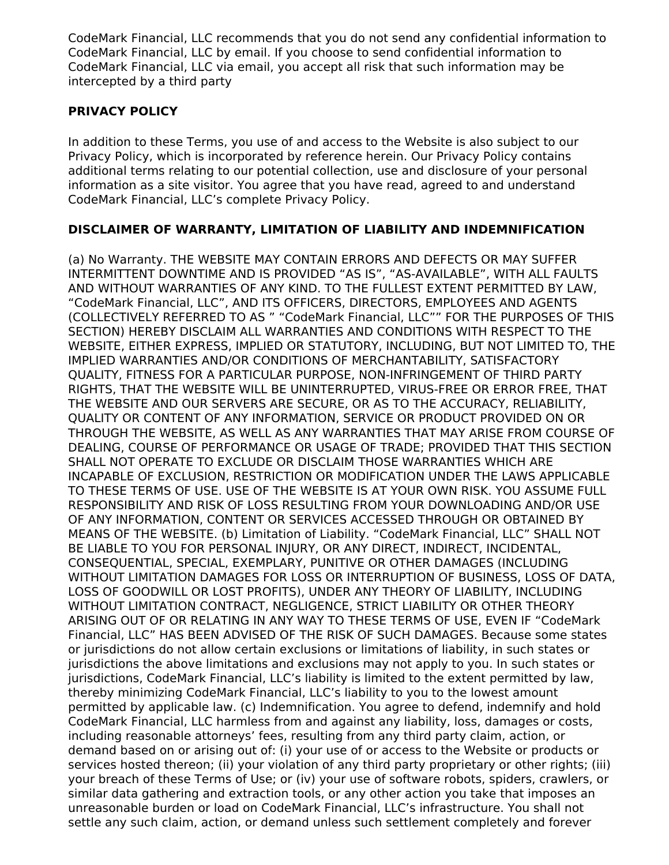CodeMark Financial, LLC recommends that you do not send any confidential information to CodeMark Financial, LLC by email. If you choose to send confidential information to CodeMark Financial, LLC via email, you accept all risk that such information may be intercepted by a third party

## **PRIVACY POLICY**

In addition to these Terms, you use of and access to the Website is also subject to our Privacy Policy, which is incorporated by reference herein. Our Privacy Policy contains additional terms relating to our potential collection, use and disclosure of your personal information as a site visitor. You agree that you have read, agreed to and understand CodeMark Financial, LLC's complete Privacy Policy.

# **DISCLAIMER OF WARRANTY, LIMITATION OF LIABILITY AND INDEMNIFICATION**

(a) No Warranty. THE WEBSITE MAY CONTAIN ERRORS AND DEFECTS OR MAY SUFFER INTERMITTENT DOWNTIME AND IS PROVIDED "AS IS", "AS-AVAILABLE", WITH ALL FAULTS AND WITHOUT WARRANTIES OF ANY KIND. TO THE FULLEST EXTENT PERMITTED BY LAW, "CodeMark Financial, LLC", AND ITS OFFICERS, DIRECTORS, EMPLOYEES AND AGENTS (COLLECTIVELY REFERRED TO AS " "CodeMark Financial, LLC"" FOR THE PURPOSES OF THIS SECTION) HEREBY DISCLAIM ALL WARRANTIES AND CONDITIONS WITH RESPECT TO THE WEBSITE, EITHER EXPRESS, IMPLIED OR STATUTORY, INCLUDING, BUT NOT LIMITED TO, THE IMPLIED WARRANTIES AND/OR CONDITIONS OF MERCHANTABILITY, SATISFACTORY QUALITY, FITNESS FOR A PARTICULAR PURPOSE, NON-INFRINGEMENT OF THIRD PARTY RIGHTS, THAT THE WEBSITE WILL BE UNINTERRUPTED, VIRUS-FREE OR ERROR FREE, THAT THE WEBSITE AND OUR SERVERS ARE SECURE, OR AS TO THE ACCURACY, RELIABILITY, QUALITY OR CONTENT OF ANY INFORMATION, SERVICE OR PRODUCT PROVIDED ON OR THROUGH THE WEBSITE, AS WELL AS ANY WARRANTIES THAT MAY ARISE FROM COURSE OF DEALING, COURSE OF PERFORMANCE OR USAGE OF TRADE; PROVIDED THAT THIS SECTION SHALL NOT OPERATE TO EXCLUDE OR DISCLAIM THOSE WARRANTIES WHICH ARE INCAPABLE OF EXCLUSION, RESTRICTION OR MODIFICATION UNDER THE LAWS APPLICABLE TO THESE TERMS OF USE. USE OF THE WEBSITE IS AT YOUR OWN RISK. YOU ASSUME FULL RESPONSIBILITY AND RISK OF LOSS RESULTING FROM YOUR DOWNLOADING AND/OR USE OF ANY INFORMATION, CONTENT OR SERVICES ACCESSED THROUGH OR OBTAINED BY MEANS OF THE WEBSITE. (b) Limitation of Liability. "CodeMark Financial, LLC" SHALL NOT BE LIABLE TO YOU FOR PERSONAL INJURY, OR ANY DIRECT, INDIRECT, INCIDENTAL, CONSEQUENTIAL, SPECIAL, EXEMPLARY, PUNITIVE OR OTHER DAMAGES (INCLUDING WITHOUT LIMITATION DAMAGES FOR LOSS OR INTERRUPTION OF BUSINESS, LOSS OF DATA, LOSS OF GOODWILL OR LOST PROFITS), UNDER ANY THEORY OF LIABILITY, INCLUDING WITHOUT LIMITATION CONTRACT, NEGLIGENCE, STRICT LIABILITY OR OTHER THEORY ARISING OUT OF OR RELATING IN ANY WAY TO THESE TERMS OF USE, EVEN IF "CodeMark Financial, LLC" HAS BEEN ADVISED OF THE RISK OF SUCH DAMAGES. Because some states or jurisdictions do not allow certain exclusions or limitations of liability, in such states or jurisdictions the above limitations and exclusions may not apply to you. In such states or jurisdictions, CodeMark Financial, LLC's liability is limited to the extent permitted by law, thereby minimizing CodeMark Financial, LLC's liability to you to the lowest amount permitted by applicable law. (c) Indemnification. You agree to defend, indemnify and hold CodeMark Financial, LLC harmless from and against any liability, loss, damages or costs, including reasonable attorneys' fees, resulting from any third party claim, action, or demand based on or arising out of: (i) your use of or access to the Website or products or services hosted thereon; (ii) your violation of any third party proprietary or other rights; (iii) your breach of these Terms of Use; or (iv) your use of software robots, spiders, crawlers, or similar data gathering and extraction tools, or any other action you take that imposes an unreasonable burden or load on CodeMark Financial, LLC's infrastructure. You shall not settle any such claim, action, or demand unless such settlement completely and forever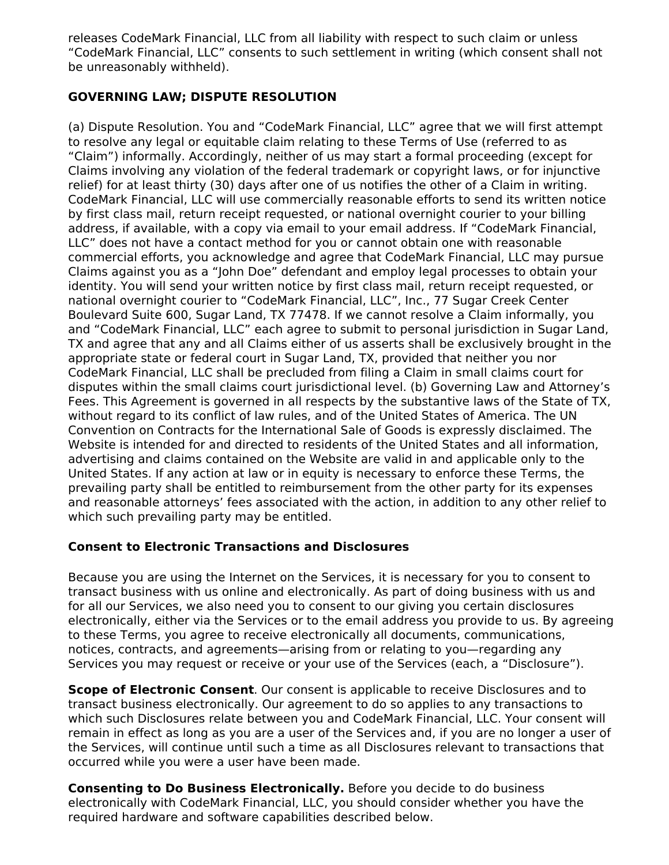releases CodeMark Financial, LLC from all liability with respect to such claim or unless "CodeMark Financial, LLC" consents to such settlement in writing (which consent shall not be unreasonably withheld).

## **GOVERNING LAW; DISPUTE RESOLUTION**

(a) Dispute Resolution. You and "CodeMark Financial, LLC" agree that we will first attempt to resolve any legal or equitable claim relating to these Terms of Use (referred to as "Claim") informally. Accordingly, neither of us may start a formal proceeding (except for Claims involving any violation of the federal trademark or copyright laws, or for injunctive relief) for at least thirty (30) days after one of us notifies the other of a Claim in writing. CodeMark Financial, LLC will use commercially reasonable efforts to send its written notice by first class mail, return receipt requested, or national overnight courier to your billing address, if available, with a copy via email to your email address. If "CodeMark Financial, LLC" does not have a contact method for you or cannot obtain one with reasonable commercial efforts, you acknowledge and agree that CodeMark Financial, LLC may pursue Claims against you as a "John Doe" defendant and employ legal processes to obtain your identity. You will send your written notice by first class mail, return receipt requested, or national overnight courier to "CodeMark Financial, LLC", Inc., 77 Sugar Creek Center Boulevard Suite 600, Sugar Land, TX 77478. If we cannot resolve a Claim informally, you and "CodeMark Financial, LLC" each agree to submit to personal jurisdiction in Sugar Land, TX and agree that any and all Claims either of us asserts shall be exclusively brought in the appropriate state or federal court in Sugar Land, TX, provided that neither you nor CodeMark Financial, LLC shall be precluded from filing a Claim in small claims court for disputes within the small claims court jurisdictional level. (b) Governing Law and Attorney's Fees. This Agreement is governed in all respects by the substantive laws of the State of TX, without regard to its conflict of law rules, and of the United States of America. The UN Convention on Contracts for the International Sale of Goods is expressly disclaimed. The Website is intended for and directed to residents of the United States and all information, advertising and claims contained on the Website are valid in and applicable only to the United States. If any action at law or in equity is necessary to enforce these Terms, the prevailing party shall be entitled to reimbursement from the other party for its expenses and reasonable attorneys' fees associated with the action, in addition to any other relief to which such prevailing party may be entitled.

## **Consent to Electronic Transactions and Disclosures**

Because you are using the Internet on the Services, it is necessary for you to consent to transact business with us online and electronically. As part of doing business with us and for all our Services, we also need you to consent to our giving you certain disclosures electronically, either via the Services or to the email address you provide to us. By agreeing to these Terms, you agree to receive electronically all documents, communications, notices, contracts, and agreements—arising from or relating to you—regarding any Services you may request or receive or your use of the Services (each, a "Disclosure").

**Scope of Electronic Consent**. Our consent is applicable to receive Disclosures and to transact business electronically. Our agreement to do so applies to any transactions to which such Disclosures relate between you and CodeMark Financial, LLC. Your consent will remain in effect as long as you are a user of the Services and, if you are no longer a user of the Services, will continue until such a time as all Disclosures relevant to transactions that occurred while you were a user have been made.

**Consenting to Do Business Electronically.** Before you decide to do business electronically with CodeMark Financial, LLC, you should consider whether you have the required hardware and software capabilities described below.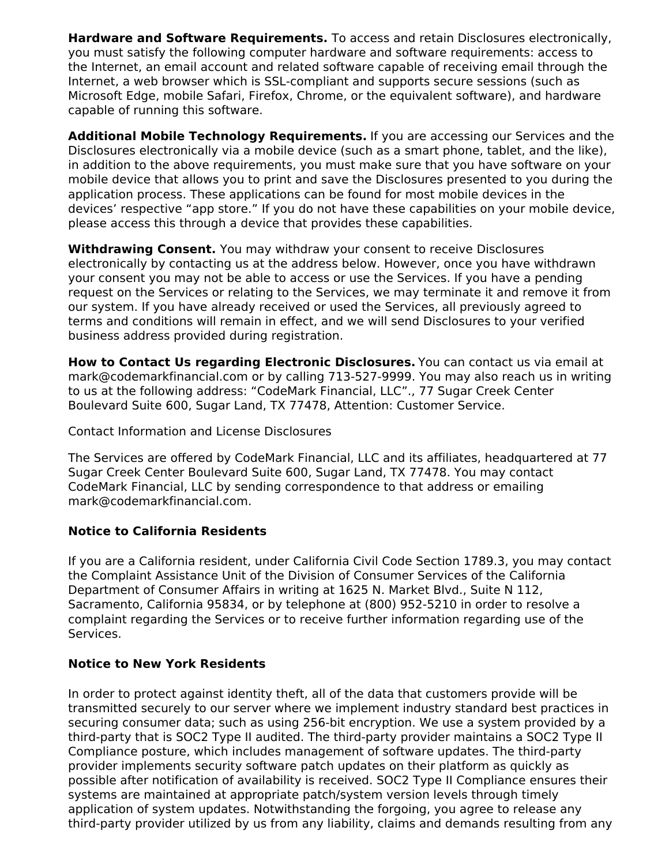**Hardware and Software Requirements.** To access and retain Disclosures electronically, you must satisfy the following computer hardware and software requirements: access to the Internet, an email account and related software capable of receiving email through the Internet, a web browser which is SSL-compliant and supports secure sessions (such as Microsoft Edge, mobile Safari, Firefox, Chrome, or the equivalent software), and hardware capable of running this software.

**Additional Mobile Technology Requirements.** If you are accessing our Services and the Disclosures electronically via a mobile device (such as a smart phone, tablet, and the like), in addition to the above requirements, you must make sure that you have software on your mobile device that allows you to print and save the Disclosures presented to you during the application process. These applications can be found for most mobile devices in the devices' respective "app store." If you do not have these capabilities on your mobile device, please access this through a device that provides these capabilities.

**Withdrawing Consent.** You may withdraw your consent to receive Disclosures electronically by contacting us at the address below. However, once you have withdrawn your consent you may not be able to access or use the Services. If you have a pending request on the Services or relating to the Services, we may terminate it and remove it from our system. If you have already received or used the Services, all previously agreed to terms and conditions will remain in effect, and we will send Disclosures to your verified business address provided during registration.

**How to Contact Us regarding Electronic Disclosures.** You can contact us via email at mark@codemarkfinancial.com or by calling 713-527-9999. You may also reach us in writing to us at the following address: "CodeMark Financial, LLC"., 77 Sugar Creek Center Boulevard Suite 600, Sugar Land, TX 77478, Attention: Customer Service.

Contact Information and License Disclosures

The Services are offered by CodeMark Financial, LLC and its affiliates, headquartered at 77 Sugar Creek Center Boulevard Suite 600, Sugar Land, TX 77478. You may contact CodeMark Financial, LLC by sending correspondence to that address or emailing mark@codemarkfinancial.com.

## **Notice to California Residents**

If you are a California resident, under California Civil Code Section 1789.3, you may contact the Complaint Assistance Unit of the Division of Consumer Services of the California Department of Consumer Affairs in writing at 1625 N. Market Blvd., Suite N 112, Sacramento, California 95834, or by telephone at (800) 952-5210 in order to resolve a complaint regarding the Services or to receive further information regarding use of the Services.

## **Notice to New York Residents**

In order to protect against identity theft, all of the data that customers provide will be transmitted securely to our server where we implement industry standard best practices in securing consumer data; such as using 256-bit encryption. We use a system provided by a third-party that is SOC2 Type II audited. The third-party provider maintains a SOC2 Type II Compliance posture, which includes management of software updates. The third-party provider implements security software patch updates on their platform as quickly as possible after notification of availability is received. SOC2 Type II Compliance ensures their systems are maintained at appropriate patch/system version levels through timely application of system updates. Notwithstanding the forgoing, you agree to release any third-party provider utilized by us from any liability, claims and demands resulting from any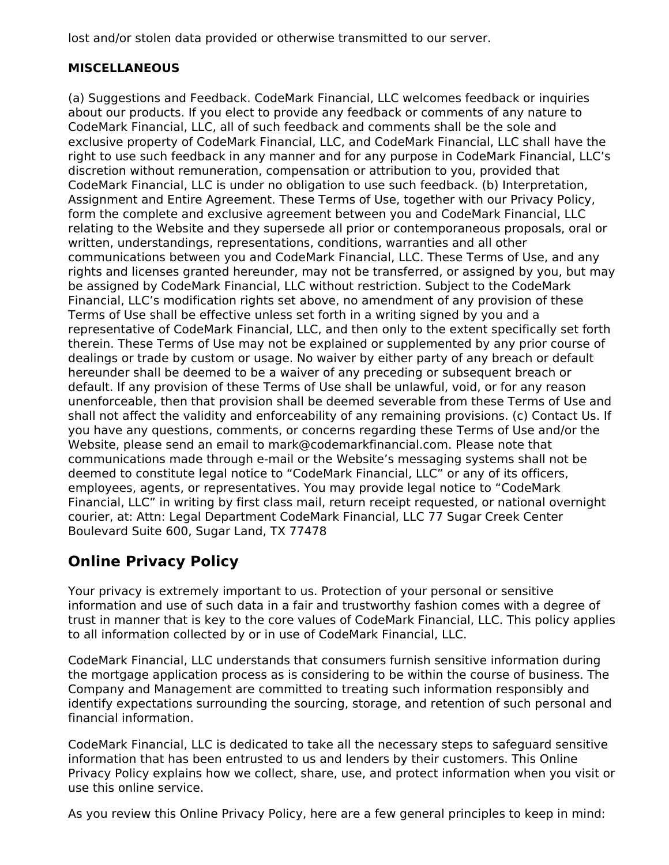lost and/or stolen data provided or otherwise transmitted to our server.

# **MISCELLANEOUS**

(a) Suggestions and Feedback. CodeMark Financial, LLC welcomes feedback or inquiries about our products. If you elect to provide any feedback or comments of any nature to CodeMark Financial, LLC, all of such feedback and comments shall be the sole and exclusive property of CodeMark Financial, LLC, and CodeMark Financial, LLC shall have the right to use such feedback in any manner and for any purpose in CodeMark Financial, LLC's discretion without remuneration, compensation or attribution to you, provided that CodeMark Financial, LLC is under no obligation to use such feedback. (b) Interpretation, Assignment and Entire Agreement. These Terms of Use, together with our Privacy Policy, form the complete and exclusive agreement between you and CodeMark Financial, LLC relating to the Website and they supersede all prior or contemporaneous proposals, oral or written, understandings, representations, conditions, warranties and all other communications between you and CodeMark Financial, LLC. These Terms of Use, and any rights and licenses granted hereunder, may not be transferred, or assigned by you, but may be assigned by CodeMark Financial, LLC without restriction. Subject to the CodeMark Financial, LLC's modification rights set above, no amendment of any provision of these Terms of Use shall be effective unless set forth in a writing signed by you and a representative of CodeMark Financial, LLC, and then only to the extent specifically set forth therein. These Terms of Use may not be explained or supplemented by any prior course of dealings or trade by custom or usage. No waiver by either party of any breach or default hereunder shall be deemed to be a waiver of any preceding or subsequent breach or default. If any provision of these Terms of Use shall be unlawful, void, or for any reason unenforceable, then that provision shall be deemed severable from these Terms of Use and shall not affect the validity and enforceability of any remaining provisions. (c) Contact Us. If you have any questions, comments, or concerns regarding these Terms of Use and/or the Website, please send an email to mark@codemarkfinancial.com. Please note that communications made through e-mail or the Website's messaging systems shall not be deemed to constitute legal notice to "CodeMark Financial, LLC" or any of its officers, employees, agents, or representatives. You may provide legal notice to "CodeMark Financial, LLC" in writing by first class mail, return receipt requested, or national overnight courier, at: Attn: Legal Department CodeMark Financial, LLC 77 Sugar Creek Center Boulevard Suite 600, Sugar Land, TX 77478

# **Online Privacy Policy**

Your privacy is extremely important to us. Protection of your personal or sensitive information and use of such data in a fair and trustworthy fashion comes with a degree of trust in manner that is key to the core values of CodeMark Financial, LLC. This policy applies to all information collected by or in use of CodeMark Financial, LLC.

CodeMark Financial, LLC understands that consumers furnish sensitive information during the mortgage application process as is considering to be within the course of business. The Company and Management are committed to treating such information responsibly and identify expectations surrounding the sourcing, storage, and retention of such personal and financial information.

CodeMark Financial, LLC is dedicated to take all the necessary steps to safeguard sensitive information that has been entrusted to us and lenders by their customers. This Online Privacy Policy explains how we collect, share, use, and protect information when you visit or use this online service.

As you review this Online Privacy Policy, here are a few general principles to keep in mind: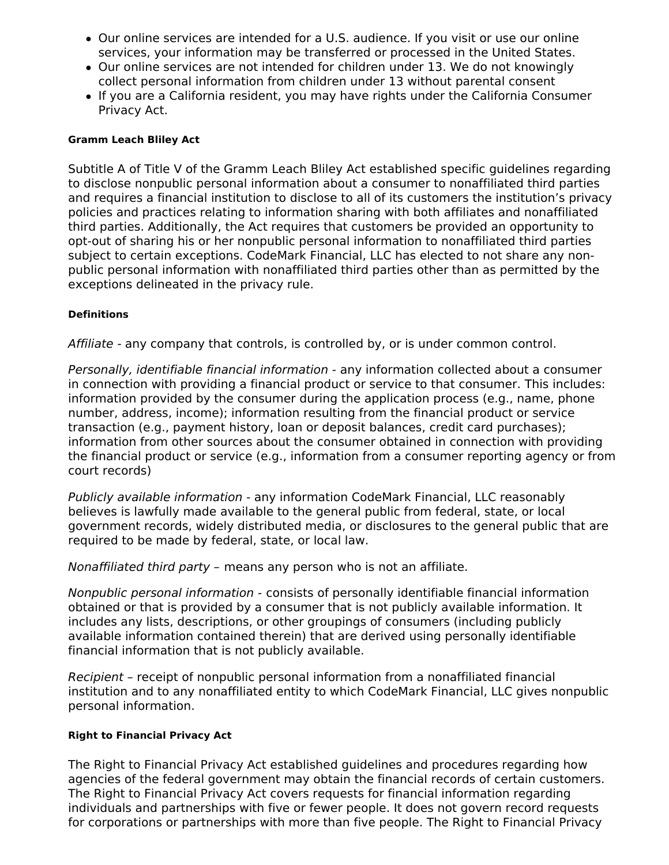- Our online services are intended for a U.S. audience. If you visit or use our online services, your information may be transferred or processed in the United States.
- Our online services are not intended for children under 13. We do not knowingly collect personal information from children under 13 without parental consent
- If you are a California resident, you may have rights under the California Consumer Privacy Act.

### **Gramm Leach Bliley Act**

Subtitle A of Title V of the Gramm Leach Bliley Act established specific guidelines regarding to disclose nonpublic personal information about a consumer to nonaffiliated third parties and requires a financial institution to disclose to all of its customers the institution's privacy policies and practices relating to information sharing with both affiliates and nonaffiliated third parties. Additionally, the Act requires that customers be provided an opportunity to opt-out of sharing his or her nonpublic personal information to nonaffiliated third parties subject to certain exceptions. CodeMark Financial, LLC has elected to not share any nonpublic personal information with nonaffiliated third parties other than as permitted by the exceptions delineated in the privacy rule.

### **Definitions**

Affiliate - any company that controls, is controlled by, or is under common control.

Personally, identifiable financial information - any information collected about a consumer in connection with providing a financial product or service to that consumer. This includes: information provided by the consumer during the application process (e.g., name, phone number, address, income); information resulting from the financial product or service transaction (e.g., payment history, loan or deposit balances, credit card purchases); information from other sources about the consumer obtained in connection with providing the financial product or service (e.g., information from a consumer reporting agency or from court records)

Publicly available information - any information CodeMark Financial, LLC reasonably believes is lawfully made available to the general public from federal, state, or local government records, widely distributed media, or disclosures to the general public that are required to be made by federal, state, or local law.

Nonaffiliated third party – means any person who is not an affiliate.

Nonpublic personal information - consists of personally identifiable financial information obtained or that is provided by a consumer that is not publicly available information. It includes any lists, descriptions, or other groupings of consumers (including publicly available information contained therein) that are derived using personally identifiable financial information that is not publicly available.

Recipient – receipt of nonpublic personal information from a nonaffiliated financial institution and to any nonaffiliated entity to which CodeMark Financial, LLC gives nonpublic personal information.

### **Right to Financial Privacy Act**

The Right to Financial Privacy Act established guidelines and procedures regarding how agencies of the federal government may obtain the financial records of certain customers. The Right to Financial Privacy Act covers requests for financial information regarding individuals and partnerships with five or fewer people. It does not govern record requests for corporations or partnerships with more than five people. The Right to Financial Privacy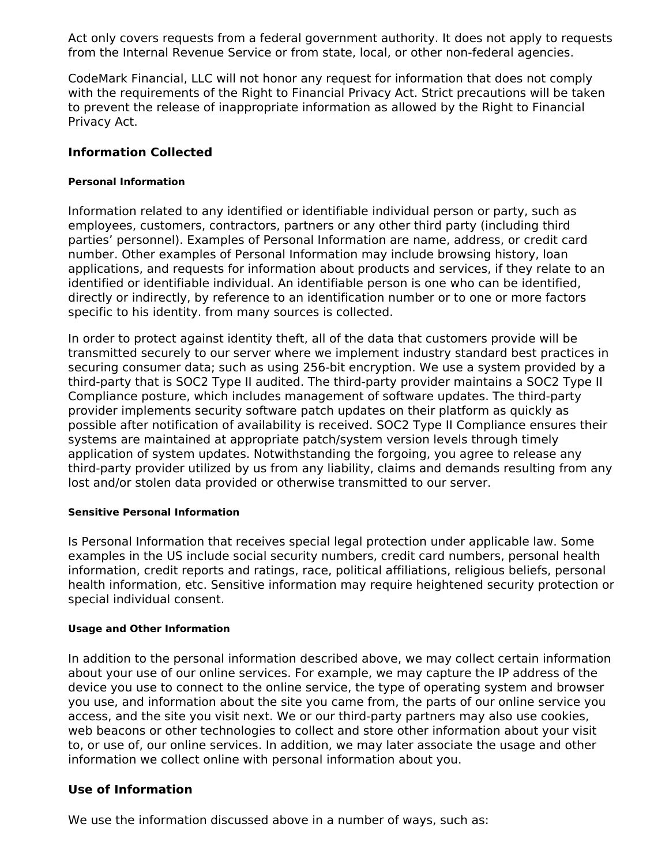Act only covers requests from a federal government authority. It does not apply to requests from the Internal Revenue Service or from state, local, or other non-federal agencies.

CodeMark Financial, LLC will not honor any request for information that does not comply with the requirements of the Right to Financial Privacy Act. Strict precautions will be taken to prevent the release of inappropriate information as allowed by the Right to Financial Privacy Act.

### **Information Collected**

#### **Personal Information**

Information related to any identified or identifiable individual person or party, such as employees, customers, contractors, partners or any other third party (including third parties' personnel). Examples of Personal Information are name, address, or credit card number. Other examples of Personal Information may include browsing history, loan applications, and requests for information about products and services, if they relate to an identified or identifiable individual. An identifiable person is one who can be identified, directly or indirectly, by reference to an identification number or to one or more factors specific to his identity. from many sources is collected.

In order to protect against identity theft, all of the data that customers provide will be transmitted securely to our server where we implement industry standard best practices in securing consumer data; such as using 256-bit encryption. We use a system provided by a third-party that is SOC2 Type II audited. The third-party provider maintains a SOC2 Type II Compliance posture, which includes management of software updates. The third-party provider implements security software patch updates on their platform as quickly as possible after notification of availability is received. SOC2 Type II Compliance ensures their systems are maintained at appropriate patch/system version levels through timely application of system updates. Notwithstanding the forgoing, you agree to release any third-party provider utilized by us from any liability, claims and demands resulting from any lost and/or stolen data provided or otherwise transmitted to our server.

#### **Sensitive Personal Information**

Is Personal Information that receives special legal protection under applicable law. Some examples in the US include social security numbers, credit card numbers, personal health information, credit reports and ratings, race, political affiliations, religious beliefs, personal health information, etc. Sensitive information may require heightened security protection or special individual consent.

#### **Usage and Other Information**

In addition to the personal information described above, we may collect certain information about your use of our online services. For example, we may capture the IP address of the device you use to connect to the online service, the type of operating system and browser you use, and information about the site you came from, the parts of our online service you access, and the site you visit next. We or our third-party partners may also use cookies, web beacons or other technologies to collect and store other information about your visit to, or use of, our online services. In addition, we may later associate the usage and other information we collect online with personal information about you.

# **Use of Information**

We use the information discussed above in a number of ways, such as: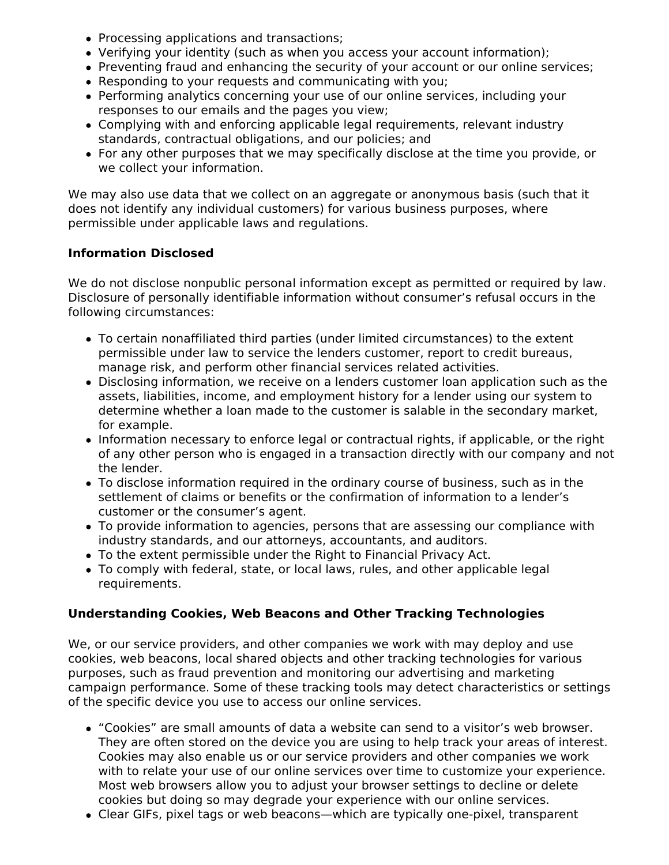- Processing applications and transactions;
- Verifying your identity (such as when you access your account information);
- Preventing fraud and enhancing the security of your account or our online services;
- Responding to your requests and communicating with you;
- Performing analytics concerning your use of our online services, including your responses to our emails and the pages you view;
- Complying with and enforcing applicable legal requirements, relevant industry standards, contractual obligations, and our policies; and
- For any other purposes that we may specifically disclose at the time you provide, or we collect your information.

We may also use data that we collect on an aggregate or anonymous basis (such that it does not identify any individual customers) for various business purposes, where permissible under applicable laws and regulations.

# **Information Disclosed**

We do not disclose nonpublic personal information except as permitted or required by law. Disclosure of personally identifiable information without consumer's refusal occurs in the following circumstances:

- To certain nonaffiliated third parties (under limited circumstances) to the extent permissible under law to service the lenders customer, report to credit bureaus, manage risk, and perform other financial services related activities.
- Disclosing information, we receive on a lenders customer loan application such as the assets, liabilities, income, and employment history for a lender using our system to determine whether a loan made to the customer is salable in the secondary market, for example.
- Information necessary to enforce legal or contractual rights, if applicable, or the right of any other person who is engaged in a transaction directly with our company and not the lender.
- To disclose information required in the ordinary course of business, such as in the settlement of claims or benefits or the confirmation of information to a lender's customer or the consumer's agent.
- To provide information to agencies, persons that are assessing our compliance with industry standards, and our attorneys, accountants, and auditors.
- To the extent permissible under the Right to Financial Privacy Act.
- To comply with federal, state, or local laws, rules, and other applicable legal requirements.

## **Understanding Cookies, Web Beacons and Other Tracking Technologies**

We, or our service providers, and other companies we work with may deploy and use cookies, web beacons, local shared objects and other tracking technologies for various purposes, such as fraud prevention and monitoring our advertising and marketing campaign performance. Some of these tracking tools may detect characteristics or settings of the specific device you use to access our online services.

- "Cookies" are small amounts of data a website can send to a visitor's web browser. They are often stored on the device you are using to help track your areas of interest. Cookies may also enable us or our service providers and other companies we work with to relate your use of our online services over time to customize your experience. Most web browsers allow you to adjust your browser settings to decline or delete cookies but doing so may degrade your experience with our online services.
- Clear GIFs, pixel tags or web beacons—which are typically one-pixel, transparent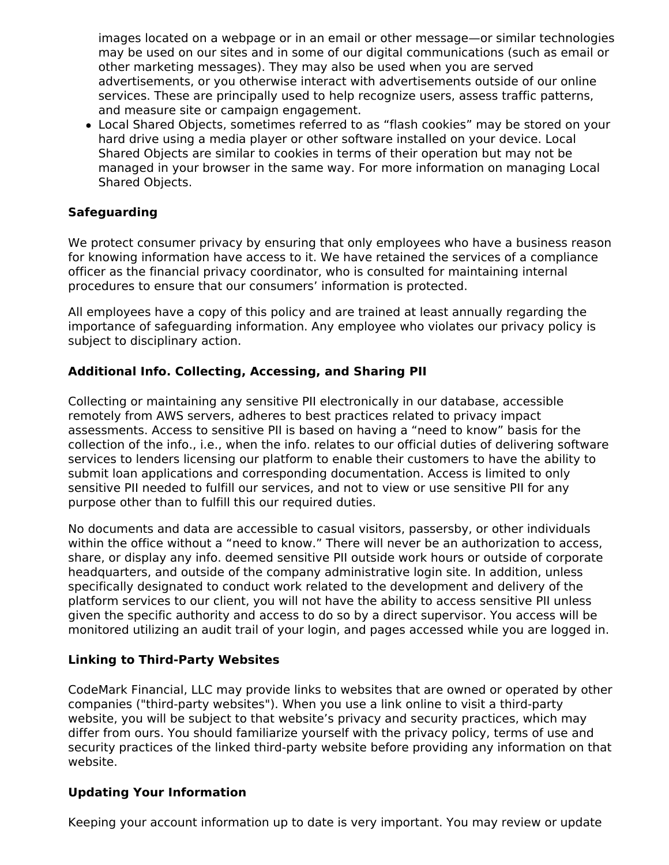images located on a webpage or in an email or other message—or similar technologies may be used on our sites and in some of our digital communications (such as email or other marketing messages). They may also be used when you are served advertisements, or you otherwise interact with advertisements outside of our online services. These are principally used to help recognize users, assess traffic patterns, and measure site or campaign engagement.

Local Shared Objects, sometimes referred to as "flash cookies" may be stored on your hard drive using a media player or other software installed on your device. Local Shared Objects are similar to cookies in terms of their operation but may not be managed in your browser in the same way. For more information on managing Local Shared Objects.

# **Safeguarding**

We protect consumer privacy by ensuring that only employees who have a business reason for knowing information have access to it. We have retained the services of a compliance officer as the financial privacy coordinator, who is consulted for maintaining internal procedures to ensure that our consumers' information is protected.

All employees have a copy of this policy and are trained at least annually regarding the importance of safeguarding information. Any employee who violates our privacy policy is subject to disciplinary action.

# **Additional Info. Collecting, Accessing, and Sharing PII**

Collecting or maintaining any sensitive PII electronically in our database, accessible remotely from AWS servers, adheres to best practices related to privacy impact assessments. Access to sensitive PII is based on having a "need to know" basis for the collection of the info., i.e., when the info. relates to our official duties of delivering software services to lenders licensing our platform to enable their customers to have the ability to submit loan applications and corresponding documentation. Access is limited to only sensitive PII needed to fulfill our services, and not to view or use sensitive PII for any purpose other than to fulfill this our required duties.

No documents and data are accessible to casual visitors, passersby, or other individuals within the office without a "need to know." There will never be an authorization to access, share, or display any info. deemed sensitive PII outside work hours or outside of corporate headquarters, and outside of the company administrative login site. In addition, unless specifically designated to conduct work related to the development and delivery of the platform services to our client, you will not have the ability to access sensitive PII unless given the specific authority and access to do so by a direct supervisor. You access will be monitored utilizing an audit trail of your login, and pages accessed while you are logged in.

## **Linking to Third-Party Websites**

CodeMark Financial, LLC may provide links to websites that are owned or operated by other companies ("third-party websites"). When you use a link online to visit a third-party website, you will be subject to that website's privacy and security practices, which may differ from ours. You should familiarize yourself with the privacy policy, terms of use and security practices of the linked third-party website before providing any information on that website.

## **Updating Your Information**

Keeping your account information up to date is very important. You may review or update